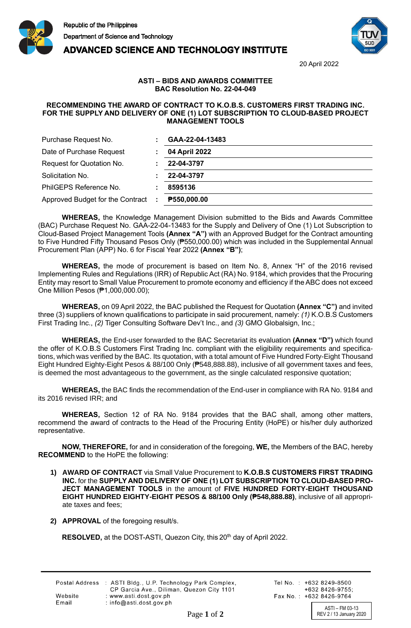





20 April 2022

## **ASTI – BIDS AND AWARDS COMMITTEE BAC Resolution No. 22-04-049**

## **RECOMMENDING THE AWARD OF CONTRACT TO K.O.B.S. CUSTOMERS FIRST TRADING INC. FOR THE SUPPLY AND DELIVERY OF ONE (1) LOT SUBSCRIPTION TO CLOUD-BASED PROJECT MANAGEMENT TOOLS**

| Purchase Request No.             |     | GAA-22-04-13483 |
|----------------------------------|-----|-----------------|
| Date of Purchase Request         |     | 04 April 2022   |
| Request for Quotation No.        |     | 22-04-3797      |
| Solicitation No.                 |     | 22-04-3797      |
| PhilGEPS Reference No.           |     | 8595136         |
| Approved Budget for the Contract | -11 | P550,000.00     |

**WHEREAS,** the Knowledge Management Division submitted to the Bids and Awards Committee (BAC) Purchase Request No. GAA-22-04-13483 for the Supply and Delivery of One (1) Lot Subscription to Cloud-Based Project Management Tools **(Annex "A")** with an Approved Budget for the Contract amounting to Five Hundred Fifty Thousand Pesos Only (₱550,000.00) which was included in the Supplemental Annual Procurement Plan (APP) No. 6 for Fiscal Year 2022 **(Annex "B")**;

**WHEREAS,** the mode of procurement is based on Item No. 8, Annex "H" of the 2016 revised Implementing Rules and Regulations (IRR) of Republic Act (RA) No. 9184, which provides that the Procuring Entity may resort to Small Value Procurement to promote economy and efficiency if the ABC does not exceed One Million Pesos (₱1,000,000.00);

**WHEREAS,** on 09 April 2022, the BAC published the Request for Quotation **(Annex "C")** and invited three (3) suppliers of known qualifications to participate in said procurement, namely: *(1)* K.O.B.S Customers First Trading Inc., *(2)* Tiger Consulting Software Dev't Inc., and *(3)* GMO Globalsign, Inc.;

**WHEREAS,** the End-user forwarded to the BAC Secretariat its evaluation **(Annex "D")** which found the offer of K.O.B.S Customers First Trading Inc. compliant with the eligibility requirements and specifications, which was verified by the BAC. Its quotation, with a total amount of Five Hundred Forty-Eight Thousand Eight Hundred Eighty-Eight Pesos & 88/100 Only (₱548,888.88), inclusive of all government taxes and fees, is deemed the most advantageous to the government, as the single calculated responsive quotation;

**WHEREAS,** the BAC finds the recommendation of the End-user in compliance with RA No. 9184 and its 2016 revised IRR; and

**WHEREAS,** Section 12 of RA No. 9184 provides that the BAC shall, among other matters, recommend the award of contracts to the Head of the Procuring Entity (HoPE) or his/her duly authorized representative.

**NOW, THEREFORE,** for and in consideration of the foregoing, **WE,** the Members of the BAC, hereby **RECOMMEND** to the HoPE the following:

- **1) AWARD OF CONTRACT** via Small Value Procurement to **K.O.B.S CUSTOMERS FIRST TRADING INC.** for the **SUPPLY AND DELIVERY OF ONE (1) LOT SUBSCRIPTION TO CLOUD-BASED PRO-JECT MANAGEMENT TOOLS** in the amount of **FIVE HUNDRED FORTY-EIGHT THOUSAND EIGHT HUNDRED EIGHTY-EIGHT PESOS & 88/100 Only (₱548,888.88)**, inclusive of all appropriate taxes and fees;
- **2) APPROVAL** of the foregoing result/s.

**RESOLVED,** at the DOST-ASTI, Quezon City, this 20<sup>th</sup> day of April 2022.